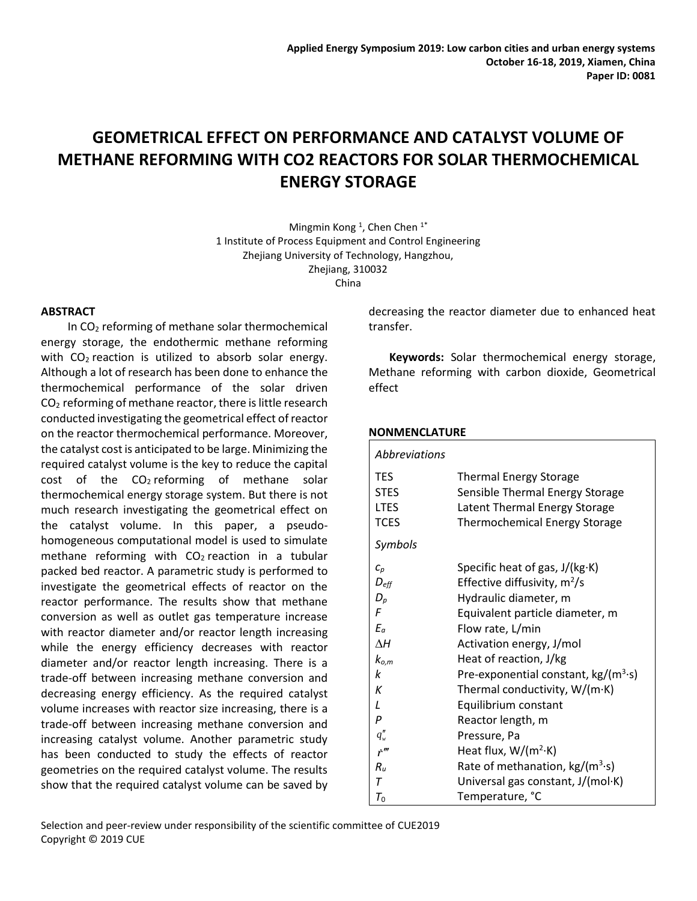# **GEOMETRICAL EFFECT ON PERFORMANCE AND CATALYST VOLUME OF METHANE REFORMING WITH CO2 REACTORS FOR SOLAR THERMOCHEMICAL ENERGY STORAGE**

Mingmin Kong<sup>1</sup>, Chen Chen<sup>1\*</sup> 1 Institute of Process Equipment and Control Engineering Zhejiang University of Technology, Hangzhou, Zhejiang, 310032 China

#### **ABSTRACT**

In  $CO<sub>2</sub>$  reforming of methane solar thermochemical energy storage, the endothermic methane reforming with  $CO<sub>2</sub>$  reaction is utilized to absorb solar energy. Although a lot of research has been done to enhance the thermochemical performance of the solar driven  $CO<sub>2</sub>$  reforming of methane reactor, there is little research conducted investigating the geometrical effect of reactor on the reactor thermochemical performance. Moreover, the catalyst cost is anticipated to be large. Minimizing the required catalyst volume is the key to reduce the capital  $cost$  of the  $CO<sub>2</sub>$  reforming of methane solar thermochemical energy storage system. But there is not much research investigating the geometrical effect on the catalyst volume. In this paper, a pseudohomogeneous computational model is used to simulate methane reforming with  $CO<sub>2</sub>$  reaction in a tubular packed bed reactor. A parametric study is performed to investigate the geometrical effects of reactor on the reactor performance. The results show that methane conversion as well as outlet gas temperature increase with reactor diameter and/or reactor length increasing while the energy efficiency decreases with reactor diameter and/or reactor length increasing. There is a trade-off between increasing methane conversion and decreasing energy efficiency. As the required catalyst volume increases with reactor size increasing, there is a trade-off between increasing methane conversion and increasing catalyst volume. Another parametric study has been conducted to study the effects of reactor geometries on the required catalyst volume. The results show that the required catalyst volume can be saved by decreasing the reactor diameter due to enhanced heat transfer.

**Keywords:** Solar thermochemical energy storage, Methane reforming with carbon dioxide, Geometrical effect

# **NONMENCLATURE**

| Abbreviations                 |                                              |  |  |  |  |
|-------------------------------|----------------------------------------------|--|--|--|--|
| <b>TES</b>                    | <b>Thermal Energy Storage</b>                |  |  |  |  |
| <b>STES</b>                   | Sensible Thermal Energy Storage              |  |  |  |  |
| <b>LTES</b>                   | Latent Thermal Energy Storage                |  |  |  |  |
| <b>TCES</b>                   | <b>Thermochemical Energy Storage</b>         |  |  |  |  |
| Symbols                       |                                              |  |  |  |  |
| $C_p$                         | Specific heat of gas, $J/(kg·K)$             |  |  |  |  |
| $D_{\text{eff}}$              | Effective diffusivity, $m^2/s$               |  |  |  |  |
| $D_p$                         | Hydraulic diameter, m                        |  |  |  |  |
| F                             | Equivalent particle diameter, m              |  |  |  |  |
| $E_a$                         | Flow rate, L/min                             |  |  |  |  |
| ΛH                            | Activation energy, J/mol                     |  |  |  |  |
| $k_{o,m}$                     | Heat of reaction, J/kg                       |  |  |  |  |
| k                             | Pre-exponential constant, $kg/(m^3 \cdot s)$ |  |  |  |  |
| К                             | Thermal conductivity, $W/(m \cdot K)$        |  |  |  |  |
| $\mathcal{L}$                 | Equilibrium constant                         |  |  |  |  |
| P                             | Reactor length, m                            |  |  |  |  |
| $q''_w$                       | Pressure, Pa                                 |  |  |  |  |
| $\dot{r}$ <sup><i>m</i></sup> | Heat flux, $W/(m^2 \cdot K)$                 |  |  |  |  |
| $R_{\rm u}$                   | Rate of methanation, $kg/(m^3 \cdot s)$      |  |  |  |  |
| т                             | Universal gas constant, J/(mol·K)            |  |  |  |  |
| $\tau_{\mathfrak{o}}$         | Temperature, °C                              |  |  |  |  |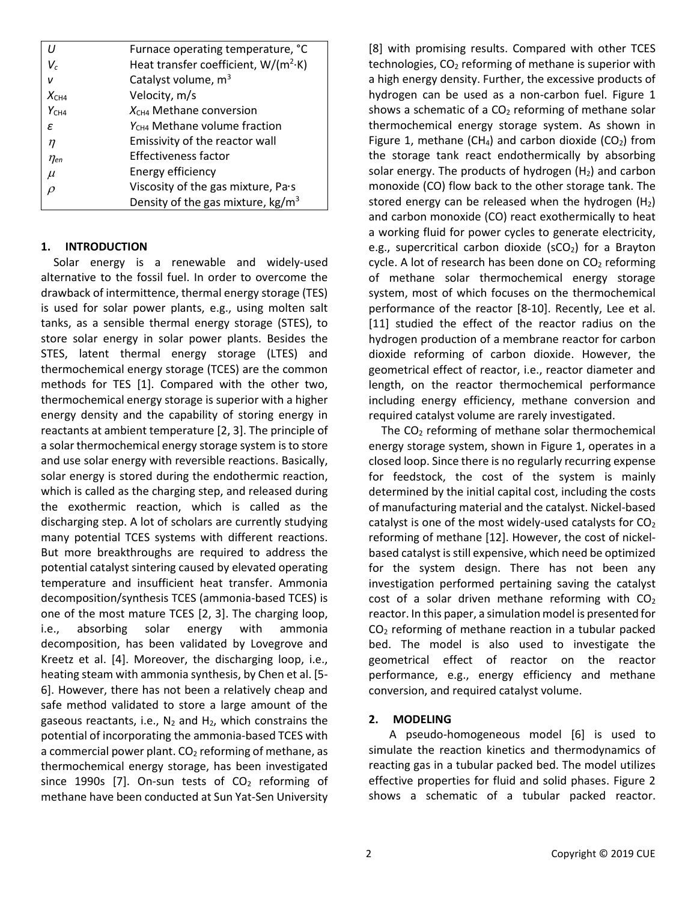|                  | Furnace operating temperature, °C                |  |  |
|------------------|--------------------------------------------------|--|--|
| V,               | Heat transfer coefficient, W/(m <sup>2</sup> ·K) |  |  |
| v                | Catalyst volume, m <sup>3</sup>                  |  |  |
| $X_{CH4}$        | Velocity, m/s                                    |  |  |
| Y <sub>CH4</sub> | $X_{CH4}$ Methane conversion                     |  |  |
| ε                | Y <sub>CH4</sub> Methane volume fraction         |  |  |
| $\eta$           | Emissivity of the reactor wall                   |  |  |
| $\eta_{en}$      | <b>Effectiveness factor</b>                      |  |  |
| $\mu$            | Energy efficiency                                |  |  |
| $\Omega$         | Viscosity of the gas mixture, Pa.s               |  |  |
|                  | Density of the gas mixture, $kg/m3$              |  |  |

## **1. INTRODUCTION**

Solar energy is a renewable and widely-used alternative to the fossil fuel. In order to overcome the drawback of intermittence, thermal energy storage (TES) is used for solar power plants, e.g., using molten salt tanks, as a sensible thermal energy storage (STES), to store solar energy in solar power plants. Besides the STES, latent thermal energy storage (LTES) and thermochemical energy storage (TCES) are the common methods for TES [1]. Compared with the other two, thermochemical energy storage is superior with a higher energy density and the capability of storing energy in reactants at ambient temperature [2, 3]. The principle of a solar thermochemical energy storage system is to store and use solar energy with reversible reactions. Basically, solar energy is stored during the endothermic reaction, which is called as the charging step, and released during the exothermic reaction, which is called as the discharging step. A lot of scholars are currently studying many potential TCES systems with different reactions. But more breakthroughs are required to address the potential catalyst sintering caused by elevated operating temperature and insufficient heat transfer. Ammonia decomposition/synthesis TCES (ammonia-based TCES) is one of the most mature TCES [2, 3]. The charging loop, i.e., absorbing solar energy with ammonia decomposition, has been validated by Lovegrove and Kreetz et al. [4]. Moreover, the discharging loop, i.e., heating steam with ammonia synthesis, by Chen et al. [5- 6]. However, there has not been a relatively cheap and safe method validated to store a large amount of the gaseous reactants, i.e.,  $N_2$  and  $H_2$ , which constrains the potential of incorporating the ammonia-based TCES with a commercial power plant.  $CO<sub>2</sub>$  reforming of methane, as thermochemical energy storage, has been investigated since 1990s [7]. On-sun tests of  $CO<sub>2</sub>$  reforming of methane have been conducted at Sun Yat-Sen University [8] with promising results. Compared with other TCES technologies,  $CO<sub>2</sub>$  reforming of methane is superior with a high energy density. Further, the excessive products of hydrogen can be used as a non-carbon fuel. Figure 1 shows a schematic of a  $CO<sub>2</sub>$  reforming of methane solar thermochemical energy storage system. As shown in Figure 1, methane (CH<sub>4</sub>) and carbon dioxide (CO<sub>2</sub>) from the storage tank react endothermically by absorbing solar energy. The products of hydrogen  $(H<sub>2</sub>)$  and carbon monoxide (CO) flow back to the other storage tank. The stored energy can be released when the hydrogen  $(H<sub>2</sub>)$ and carbon monoxide (CO) react exothermically to heat a working fluid for power cycles to generate electricity, e.g., supercritical carbon dioxide ( $SCO<sub>2</sub>$ ) for a Brayton cycle. A lot of research has been done on  $CO<sub>2</sub>$  reforming of methane solar thermochemical energy storage system, most of which focuses on the thermochemical performance of the reactor [8-10]. Recently, Lee et al. [11] studied the effect of the reactor radius on the hydrogen production of a membrane reactor for carbon dioxide reforming of carbon dioxide. However, the geometrical effect of reactor, i.e., reactor diameter and length, on the reactor thermochemical performance including energy efficiency, methane conversion and required catalyst volume are rarely investigated.

The  $CO<sub>2</sub>$  reforming of methane solar thermochemical energy storage system, shown in Figure 1, operates in a closed loop. Since there is no regularly recurring expense for feedstock, the cost of the system is mainly determined by the initial capital cost, including the costs of manufacturing material and the catalyst. Nickel-based catalyst is one of the most widely-used catalysts for  $CO<sub>2</sub>$ reforming of methane [12]. However, the cost of nickelbased catalyst is still expensive, which need be optimized for the system design. There has not been any investigation performed pertaining saving the catalyst cost of a solar driven methane reforming with  $CO<sub>2</sub>$ reactor. In this paper, a simulation model is presented for CO<sup>2</sup> reforming of methane reaction in a tubular packed bed. The model is also used to investigate the geometrical effect of reactor on the reactor performance, e.g., energy efficiency and methane conversion, and required catalyst volume.

# **2. MODELING**

A pseudo-homogeneous model [6] is used to simulate the reaction kinetics and thermodynamics of reacting gas in a tubular packed bed. The model utilizes effective properties for fluid and solid phases. Figure 2 shows a schematic of a tubular packed reactor.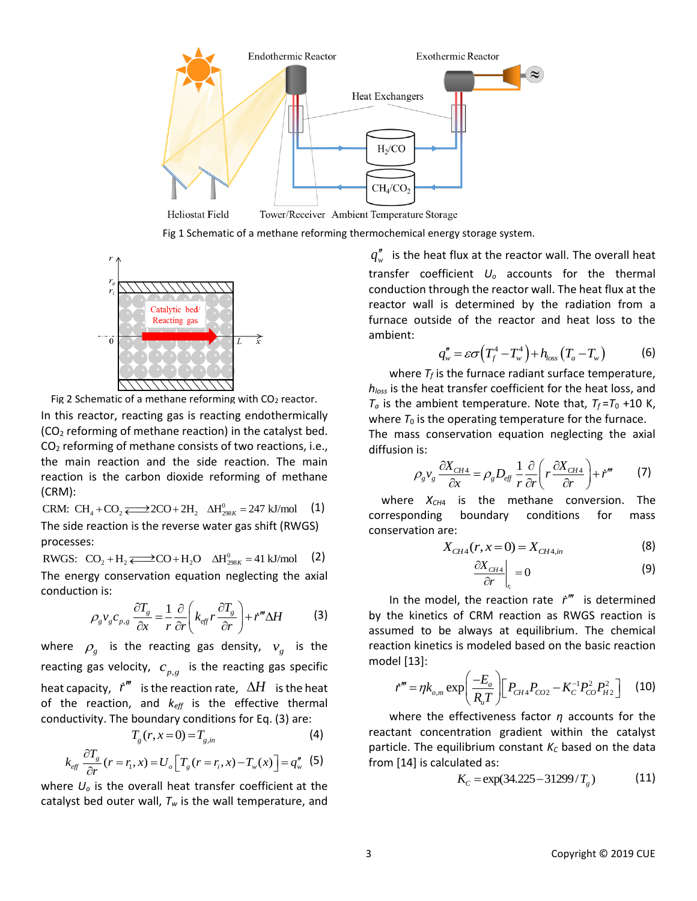

**Heliostat Field** 

Fig 1 Schematic of a methane reforming thermochemical energy storage system.



Fig 2 Schematic of a methane reforming with  $CO<sub>2</sub>$  reactor.

In this reactor, reacting gas is reacting endothermically (CO<sup>2</sup> reforming of methane reaction) in the catalyst bed. CO<sup>2</sup> reforming of methane consists of two reactions, i.e., the main reaction and the side reaction. The main reaction is the carbon dioxide reforming of methane (CRM):  $\text{CRM: CH}_{4} + \text{CO}_{2} \rightleftarrows 2\text{CO} + 2\text{H}_{2} \quad \Delta \text{H}_{298K}^{0} = 247 \text{ kJ/mol}$ 

(1) The side reaction is the reverse water gas shift (RWGS)

processes:

The side reaction is the reverse water gas shift (RWGS)<br>processes:<br>RWGS:  $\ CO_2 + H_2 \rightleftarrows CO + H_2O \quad \Delta H_{298K}^0 = 41 \text{ kJ/mol} \quad (2)$ The energy conservation equation neglecting the axial conduction is:

on is:  
\n
$$
\rho_{g}v_{g}c_{p,g}\frac{\partial T_{g}}{\partial x} = \frac{1}{r}\frac{\partial}{\partial r}\left(k_{eff}r\frac{\partial T_{g}}{\partial r}\right) + \dot{r}^{m}\Delta H
$$
\n(3)

where  $\rho_{g}$  is the reacting gas density,  $v_{g}$  is the reacting gas velocity,  $c_{p,g}$  is the reacting gas specific heat capacity,  $\it{i''''}$  is the reaction rate,  $\varDelta H$  is the heat of the reaction, and *keff* is the effective thermal conductivity. The boundary conditions for Eq. (3) are:

$$
T_g(r, x=0) = T_{g,in} \tag{4}
$$

$$
T_g(r, x=0) = T_{g, in}
$$
\n
$$
k_{\text{eff}} \frac{\partial T_g}{\partial r}(r=r_1, x) = U_o \left[ T_g(r=r_i, x) - T_w(x) \right] = q_w^r \quad (5)
$$

where *U<sup>o</sup>* is the overall heat transfer coefficient at the catalyst bed outer wall, *T<sup>w</sup>* is the wall temperature, and

 $q''_{\mathrm{w}}$  is the heat flux at the reactor wall. The overall heat transfer coefficient *U<sup>o</sup>* accounts for the thermal conduction through the reactor wall. The heat flux at the reactor wall is determined by the radiation from a furnace outside of the reactor and heat loss to the ambient:

$$
q_w'' = \varepsilon \sigma \left( T_f^4 - T_w^4 \right) + h_{loss} \left( T_a - T_w \right) \tag{6}
$$

where  $T_f$  is the furnace radiant surface temperature, *hloss* is the heat transfer coefficient for the heat loss, and  $T_a$  is the ambient temperature. Note that,  $T_f = T_0 + 10$  K, where  $T_0$  is the operating temperature for the furnace.

The mass conservation equation neglecting the axial diffusion is:  $\frac{\partial X_{CH4}}{\partial X_{CH4}} = \rho D_{\infty} \frac{1}{r} \frac{\partial}{\partial (r} \left( r \frac{\partial X_{CH4}}{\partial X_{CH4}} \right) + \dot{r}^m$ 

is:  
\n
$$
\rho_g v_g \frac{\partial X_{CH4}}{\partial x} = \rho_g D_{eff} \frac{1}{r} \frac{\partial}{\partial r} \left( r \frac{\partial X_{CH4}}{\partial r} \right) + \dot{r}^m
$$
\n(7)

where *XCH*<sup>4</sup> is the methane conversion. The corresponding boundary conditions for mass conservation are:

$$
X_{CH4}(r, x=0) = X_{CH4,in}
$$
 (8)

$$
\left. \frac{\partial X_{CH4}}{\partial r} \right|_{r_i} = 0 \tag{9}
$$

In the model, the reaction rate  $\dot{r}$ <sup>"</sup> is determined by the kinetics of CRM reaction as RWGS reaction is assumed to be always at equilibrium. The chemical reaction kinetics is modeled based on the basic reaction model [13]:  $\left(-E_a\right)$  $\begin{bmatrix}P & P\end{bmatrix}$ 

el [13]:  
\n
$$
\dot{r}''' = \eta k_{o,m} \exp\left(\frac{-E_a}{R_u T}\right) \left[ P_{CH4} P_{CO2} - K_C^{-1} P_{CO}^2 P_{H2}^2 \right] \tag{10}
$$

where the effectiveness factor *η* accounts for the reactant concentration gradient within the catalyst particle. The equilibrium constant *K<sup>C</sup>* based on the data from [14] is calculated as:

rated as:  
\n
$$
K_c = \exp(34.225 - 31299/T_g)
$$
 (11)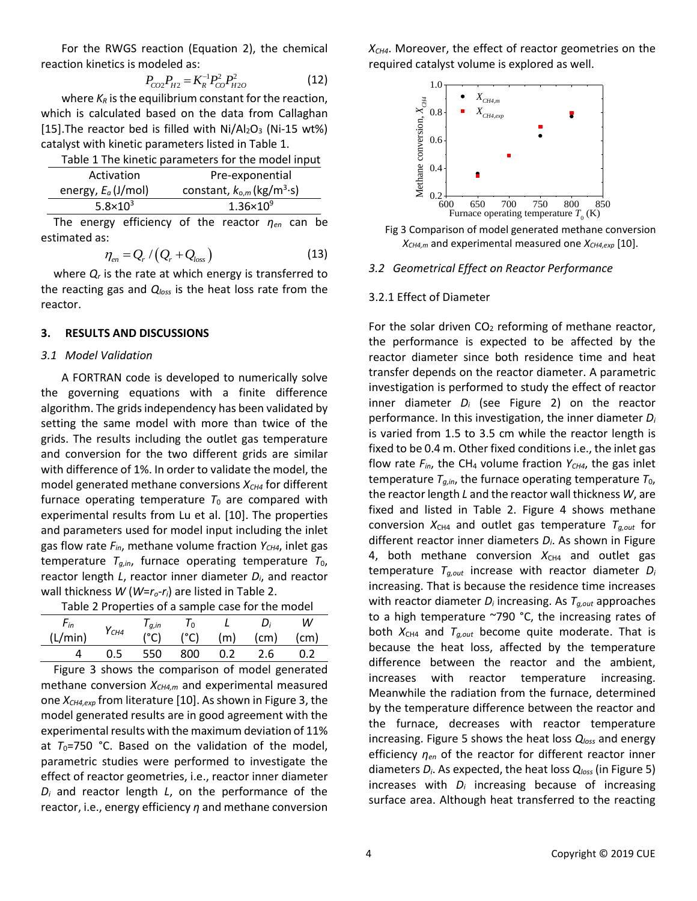For the RWGS reaction (Equation 2), the chemical reaction kinetics is modeled as:

$$
P_{CO2}P_{H2} = K_R^{-1}P_{CO}^2P_{H2O}^2
$$
 (12)

where  $K_R$  is the equilibrium constant for the reaction, which is calculated based on the data from Callaghan [15]. The reactor bed is filled with  $Ni/Al_2O_3$  (Ni-15 wt%) catalyst with kinetic parameters listed in [Table 1.](#page-3-0)

<span id="page-3-0"></span>

| Table 1 The kinetic parameters for the model input |                                                         |  |  |  |  |  |
|----------------------------------------------------|---------------------------------------------------------|--|--|--|--|--|
| Activation                                         | Pre-exponential                                         |  |  |  |  |  |
| energy, $E_a$ (J/mol)                              | constant, $k_{o,m}$ (kg/m <sup>3</sup> ·s)              |  |  |  |  |  |
| $5.8 \times 10^3$                                  | $1.36 \times 10^{9}$                                    |  |  |  |  |  |
|                                                    | The energy efficiency of the reactor $\eta_{en}$ can be |  |  |  |  |  |

estimated as:

$$
\eta_{en} = Q_r / (Q_r + Q_{loss})
$$
\n(13)

where  $Q_r$  is the rate at which energy is transferred to the reacting gas and *Qloss* is the heat loss rate from the reactor.

## **3. RESULTS AND DISCUSSIONS**

## *3.1 Model Validation*

A FORTRAN code is developed to numerically solve the governing equations with a finite difference algorithm. The grids independency has been validated by setting the same model with more than twice of the grids. The results including the outlet gas temperature and conversion for the two different grids are similar with difference of 1%. In order to validate the model, the model generated methane conversions  $X_{CH4}$  for different furnace operating temperature  $T_0$  are compared with experimental results from Lu et al. [10]. The properties and parameters used for model input including the inlet gas flow rate  $F_{in}$ , methane volume fraction  $Y_{CH4}$ , inlet gas temperature  $T_{g,in}$ , furnace operating temperature  $T_0$ , reactor length *L*, reactor inner diameter *Di*, and reactor wall thickness *W* (*W*=*ro*-*ri*) are listed in [Table 2.](#page-3-1)

<span id="page-3-1"></span>

| Table 2 Properties of a sample case for the model |                  |            |       |               |                   |                   |
|---------------------------------------------------|------------------|------------|-------|---------------|-------------------|-------------------|
| $F_{in}$                                          | Y <sub>CH4</sub> | $I_{a,in}$ | $I_0$ | $\mathcal{L}$ | D:                | w                 |
| (L/min)                                           |                  |            | (°C)  | (m)           | (c <sub>m</sub> ) | (c <sub>m</sub> ) |
|                                                   | 0.5              | 550        | 800   | 0. Z          | -2.6              |                   |

Figure 3 shows the comparison of model generated methane conversion *XCH4,m* and experimental measured one *XCH4,exp* from literature [10]. As shown in Figure 3, the model generated results are in good agreement with the experimental results with the maximum deviation of 11% at  $T_0$ =750 °C. Based on the validation of the model, parametric studies were performed to investigate the effect of reactor geometries, i.e., reactor inner diameter *D<sup>i</sup>* and reactor length *L*, on the performance of the reactor, i.e., energy efficiency *η* and methane conversion *XCH4*. Moreover, the effect of reactor geometries on the required catalyst volume is explored as well.



Fig 3 Comparison of model generated methane conversion *XCH4,m* and experimental measured one *XCH4,exp* [10].

## *3.2 Geometrical Effect on Reactor Performance*

## 3.2.1 Effect of Diameter

For the solar driven  $CO<sub>2</sub>$  reforming of methane reactor, the performance is expected to be affected by the reactor diameter since both residence time and heat transfer depends on the reactor diameter. A parametric investigation is performed to study the effect of reactor inner diameter *D<sup>i</sup>* (see Figure 2) on the reactor performance. In this investigation, the inner diameter *D<sup>i</sup>* is varied from 1.5 to 3.5 cm while the reactor length is fixed to be 0.4 m. Other fixed conditions i.e., the inlet gas flow rate  $F_{in}$ , the CH<sub>4</sub> volume fraction  $Y_{CH4}$ , the gas inlet temperature  $T_{g,in}$ , the furnace operating temperature  $T_0$ , the reactor length *L* and the reactor wall thickness *W*, are fixed and listed in Table 2. Figure 4 shows methane conversion  $X_{CH4}$  and outlet gas temperature  $T_{g,out}$  for different reactor inner diameters *Di*. As shown in Figure 4, both methane conversion  $X_{CH4}$  and outlet gas temperature *Tg,out* increase with reactor diameter *D<sup>i</sup>* increasing. That is because the residence time increases with reactor diameter *D<sup>i</sup>* increasing. As *Tg,out* approaches to a high temperature ~790 °C, the increasing rates of both  $X_{CH4}$  and  $T_{g,out}$  become quite moderate. That is because the heat loss, affected by the temperature difference between the reactor and the ambient, increases with reactor temperature increasing. Meanwhile the radiation from the furnace, determined by the temperature difference between the reactor and the furnace, decreases with reactor temperature increasing. Figure 5 shows the heat loss *Qloss* and energy efficiency *ηen* of the reactor for different reactor inner diameters *Di*. As expected, the heat loss *Qloss* (in Figure 5) increases with *D<sup>i</sup>* increasing because of increasing surface area. Although heat transferred to the reacting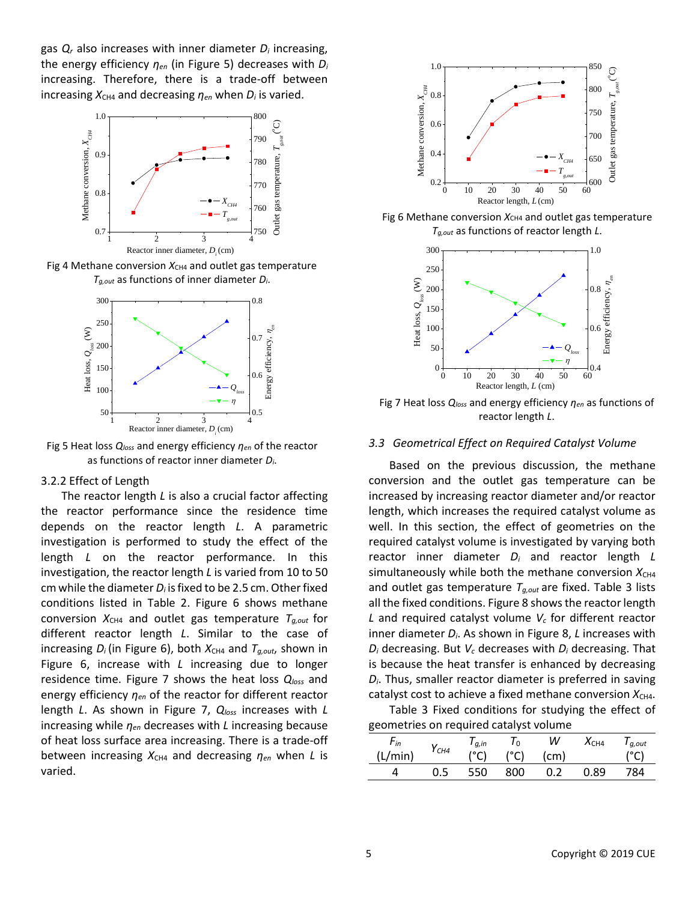gas *Q<sup>r</sup>* also increases with inner diameter *D<sup>i</sup>* increasing, the energy efficiency *ηen* (in Figure 5) decreases with *D<sup>i</sup>* increasing. Therefore, there is a trade-off between increasing  $X_{CH4}$  and decreasing  $\eta_{en}$  when  $D_i$  is varied.



Fig 4 Methane conversion  $X_{CH4}$  and outlet gas temperature *Tg,out* as functions of inner diameter *Di*.



Fig 5 Heat loss *Qloss* and energy efficiency *ηen* of the reactor as functions of reactor inner diameter *Di*.

#### 3.2.2 Effect of Length

The reactor length *L* is also a crucial factor affecting the reactor performance since the residence time depends on the reactor length *L*. A parametric investigation is performed to study the effect of the length *L* on the reactor performance. In this investigation, the reactor length *L* is varied from 10 to 50 cm while the diameter *D<sup>i</sup>* is fixed to be 2.5 cm. Other fixed conditions listed in Table 2. Figure 6 shows methane conversion  $X_{CH4}$  and outlet gas temperature  $T_{g,out}$  for different reactor length *L*. Similar to the case of increasing  $D_i$  (in Figure 6), both  $X_{CH4}$  and  $T_{q,out}$ , shown in Figure 6, increase with *L* increasing due to longer residence time. Figure 7 shows the heat loss *Qloss* and energy efficiency *ηen* of the reactor for different reactor length *L*. As shown in Figure 7, *Qloss* increases with *L* increasing while *ηen* decreases with *L* increasing because of heat loss surface area increasing. There is a trade-off between increasing  $X_{CH4}$  and decreasing  $η_{en}$  when *L* is varied.



Fig 6 Methane conversion  $X_{CH4}$  and outlet gas temperature *Tg,out* as functions of reactor length *L*.



Fig 7 Heat loss *Qloss* and energy efficiency *ηen* as functions of reactor length *L*.

#### *3.3 Geometrical Effect on Required Catalyst Volume*

Based on the previous discussion, the methane conversion and the outlet gas temperature can be increased by increasing reactor diameter and/or reactor length, which increases the required catalyst volume as well. In this section, the effect of geometries on the required catalyst volume is investigated by varying both reactor inner diameter *D<sup>i</sup>* and reactor length *L* simultaneously while both the methane conversion  $X_{CH4}$ and outlet gas temperature *Tg,out* are fixed. Table 3 lists all the fixed conditions. Figure 8 shows the reactor length *L* and required catalyst volume *V<sup>c</sup>* for different reactor inner diameter *Di*. As shown in Figure 8, *L* increases with *D<sup>i</sup>* decreasing. But *V<sup>c</sup>* decreases with *D<sup>i</sup>* decreasing. That is because the heat transfer is enhanced by decreasing *Di*. Thus, smaller reactor diameter is preferred in saving catalyst cost to achieve a fixed methane conversion  $X_{CH4}$ .

Table 3 Fixed conditions for studying the effect of geometries on required catalyst volume

| $r_{in}$ | $Y_{CH4}$ | $I_{q,in}$ | 0 ا  | W    | $X_{CH4}$ | $I_{q,out}$ |
|----------|-----------|------------|------|------|-----------|-------------|
| (L/min)  |           | (°C)       | (°C) | (cm) |           | (°C)        |
|          | 0.5       | 550        | 800  |      | 0.89      | 784         |
|          |           |            |      |      |           |             |